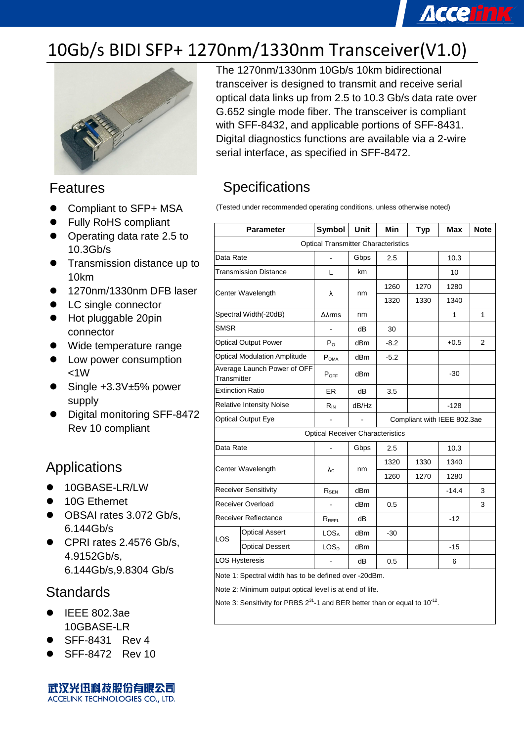# **Accelink**

## 10Gb/s BIDI SFP+ 1270nm/1330nm Transceiver(V1.0)



#### Features

- Compliant to SFP+ MSA
- Fully RoHS compliant
- Operating data rate 2.5 to 10.3Gb/s
- **Transmission distance up to** 10km
- 1270nm/1330nm DFB laser
- LC single connector
- Hot pluggable 20pin connector
- Wide temperature range
- Low power consumption  $<1W$
- Single +3.3V±5% power supply
- Digital monitoring SFF-8472 Rev 10 compliant

#### Applications

- 10GBASE-LR/LW
- 10G Ethernet
- OBSAI rates 3.072 Gb/s, 6.144Gb/s
- CPRI rates 2.4576 Gb/s, 4.9152Gb/s, 6.144Gb/s,9.8304 Gb/s

#### **Standards**

- IEEE 802.3ae 10GBASE-LR
- SFF-8431 Rev 4
- SFF-8472 Rev 10

武汉光迅科技股份有限公司 ACCELINK TECHNOLOGIES CO., LTD.

The 1270nm/1330nm 10Gb/s 10km bidirectional transceiver is designed to transmit and receive serial optical data links up from 2.5 to 10.3 Gb/s data rate over G.652 single mode fiber. The transceiver is compliant with SFF-8432, and applicable portions of SFF-8431. Digital diagnostics functions are available via a 2-wire serial interface, as specified in SFF-8472.

### **Specifications**

(Tested under recommended operating conditions, unless otherwise noted)

| <b>Parameter</b>                                      |                                                         | <b>Symbol</b>                           | <b>Unit</b> | Min    | <b>Typ</b>                  | Max     | <b>Note</b>    |  |  |
|-------------------------------------------------------|---------------------------------------------------------|-----------------------------------------|-------------|--------|-----------------------------|---------|----------------|--|--|
| <b>Optical Transmitter Characteristics</b>            |                                                         |                                         |             |        |                             |         |                |  |  |
| Data Rate                                             |                                                         |                                         | Gbps        | 2.5    |                             | 10.3    |                |  |  |
|                                                       | <b>Transmission Distance</b>                            | L                                       | km          |        |                             | 10      |                |  |  |
| Center Wavelength                                     |                                                         | λ                                       | nm          | 1260   | 1270                        | 1280    |                |  |  |
|                                                       |                                                         |                                         |             | 1320   | 1330                        | 1340    |                |  |  |
|                                                       | Spectral Width(-20dB)                                   | $\Delta\lambda$ rms                     | nm          |        |                             | 1       | $\mathbf{1}$   |  |  |
| SMSR                                                  |                                                         |                                         | dB          | 30     |                             |         |                |  |  |
|                                                       | <b>Optical Output Power</b>                             | $P_{\Omega}$                            | dBm         | $-8.2$ |                             | $+0.5$  | $\overline{2}$ |  |  |
|                                                       | <b>Optical Modulation Amplitude</b>                     | P <sub>OMA</sub>                        | dBm         | $-5.2$ |                             |         |                |  |  |
| Transmitter                                           | Average Launch Power of OFF                             | $P_{OFF}$                               | dBm         |        |                             | $-30$   |                |  |  |
| <b>Extinction Ratio</b>                               |                                                         | ER                                      | dB          | 3.5    |                             |         |                |  |  |
|                                                       | <b>Relative Intensity Noise</b>                         | $R_{IN}$                                | dB/Hz       |        |                             | $-128$  |                |  |  |
| <b>Optical Output Eye</b>                             |                                                         | ÷,                                      |             |        | Compliant with IEEE 802.3ae |         |                |  |  |
|                                                       |                                                         | <b>Optical Receiver Characteristics</b> |             |        |                             |         |                |  |  |
| Data Rate                                             |                                                         |                                         | Gbps        | 2.5    |                             | 10.3    |                |  |  |
|                                                       | Center Wavelength                                       |                                         |             | 1320   | 1330                        | 1340    |                |  |  |
|                                                       |                                                         |                                         | nm          | 1260   | 1270                        | 1280    |                |  |  |
|                                                       | <b>Receiver Sensitivity</b>                             | $R_{SEN}$                               | dBm         |        |                             | $-14.4$ | 3              |  |  |
|                                                       | <b>Receiver Overload</b>                                |                                         | dBm         | 0.5    |                             |         | 3              |  |  |
| Receiver Reflectance                                  |                                                         | $R_{REFL}$                              | dВ          |        |                             | $-12$   |                |  |  |
| LOS                                                   | <b>Optical Assert</b>                                   | LOS <sub>A</sub>                        | dBm         | $-30$  |                             |         |                |  |  |
|                                                       | <b>Optical Dessert</b>                                  | LOS <sub>D</sub>                        | dBm         |        |                             | $-15$   |                |  |  |
|                                                       | <b>LOS Hysteresis</b>                                   |                                         | dB          | 0.5    |                             | 6       |                |  |  |
| Note 1: Spectral width has to be defined over -20dBm. |                                                         |                                         |             |        |                             |         |                |  |  |
|                                                       | Note 2: Minimum output optical level is at end of life. |                                         |             |        |                             |         |                |  |  |

Note 3: Sensitivity for PRBS  $2^{31}$ -1 and BER better than or equal to 10<sup>-12</sup>.